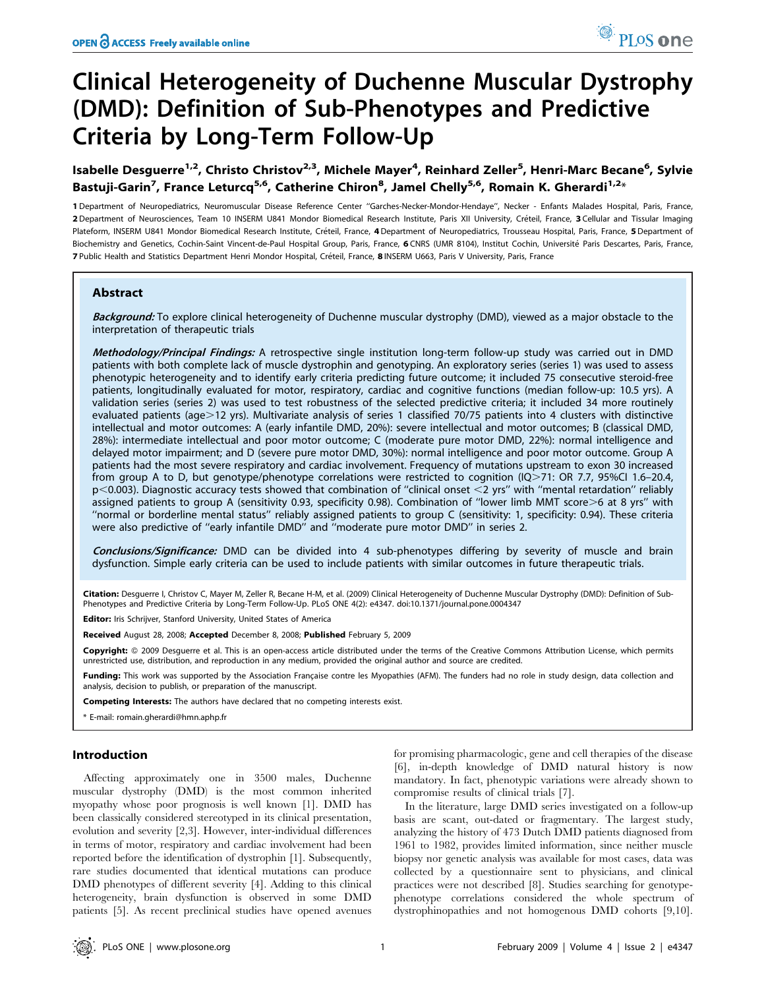# Clinical Heterogeneity of Duchenne Muscular Dystrophy (DMD): Definition of Sub-Phenotypes and Predictive Criteria by Long-Term Follow-Up

Isabelle Desguerre<sup>1,2</sup>, Christo Christov<sup>2,3</sup>, Michele Mayer<sup>4</sup>, Reinhard Zeller<sup>5</sup>, Henri-Marc Becane<sup>6</sup>, Sylvie Bastuji-Garin<sup>7</sup>, France Leturcq<sup>5,6</sup>, Catherine Chiron<sup>8</sup>, Jamel Chelly<sup>5,6</sup>, Romain K. Gherardi<sup>1,2</sup>\*

1 Department of Neuropediatrics, Neuromuscular Disease Reference Center ''Garches-Necker-Mondor-Hendaye'', Necker - Enfants Malades Hospital, Paris, France, 2 Department of Neurosciences, Team 10 INSERM U841 Mondor Biomedical Research Institute, Paris XII University, Créteil, France, 3 Cellular and Tissular Imaging Plateform, INSERM U841 Mondor Biomedical Research Institute, Créteil, France, 4 Department of Neuropediatrics, Trousseau Hospital, Paris, France, 5 Department of Biochemistry and Genetics, Cochin-Saint Vincent-de-Paul Hospital Group, Paris, France, 6 CNRS (UMR 8104), Institut Cochin, Université Paris Descartes, Paris, France, 7 Public Health and Statistics Department Henri Mondor Hospital, Créteil, France, 8 INSERM U663, Paris V University, Paris, France

# Abstract

Background: To explore clinical heterogeneity of Duchenne muscular dystrophy (DMD), viewed as a major obstacle to the interpretation of therapeutic trials

Methodology/Principal Findings: A retrospective single institution long-term follow-up study was carried out in DMD patients with both complete lack of muscle dystrophin and genotyping. An exploratory series (series 1) was used to assess phenotypic heterogeneity and to identify early criteria predicting future outcome; it included 75 consecutive steroid-free patients, longitudinally evaluated for motor, respiratory, cardiac and cognitive functions (median follow-up: 10.5 yrs). A validation series (series 2) was used to test robustness of the selected predictive criteria; it included 34 more routinely evaluated patients (age>12 yrs). Multivariate analysis of series 1 classified 70/75 patients into 4 clusters with distinctive intellectual and motor outcomes: A (early infantile DMD, 20%): severe intellectual and motor outcomes; B (classical DMD, 28%): intermediate intellectual and poor motor outcome; C (moderate pure motor DMD, 22%): normal intelligence and delayed motor impairment; and D (severe pure motor DMD, 30%): normal intelligence and poor motor outcome. Group A patients had the most severe respiratory and cardiac involvement. Frequency of mutations upstream to exon 30 increased from group A to D, but genotype/phenotype correlations were restricted to cognition (IQ>71: OR 7.7, 95%CI 1.6–20.4,  $p$ <0.003). Diagnostic accuracy tests showed that combination of "clinical onset <2 yrs" with "mental retardation" reliably assigned patients to group A (sensitivity 0.93, specificity 0.98). Combination of "lower limb MMT score>6 at 8 yrs" with ''normal or borderline mental status'' reliably assigned patients to group C (sensitivity: 1, specificity: 0.94). These criteria were also predictive of ''early infantile DMD'' and ''moderate pure motor DMD'' in series 2.

Conclusions/Significance: DMD can be divided into 4 sub-phenotypes differing by severity of muscle and brain dysfunction. Simple early criteria can be used to include patients with similar outcomes in future therapeutic trials.

Citation: Desquerre I, Christov C, Mayer M, Zeller R, Becane H-M, et al. (2009) Clinical Heterogeneity of Duchenne Muscular Dystrophy (DMD): Definition of Sub-Phenotypes and Predictive Criteria by Long-Term Follow-Up. PLoS ONE 4(2): e4347. doi:10.1371/journal.pone.0004347

Editor: Iris Schrijver, Stanford University, United States of America

Received August 28, 2008; Accepted December 8, 2008; Published February 5, 2009

Copyright: © 2009 Desquerre et al. This is an open-access article distributed under the terms of the Creative Commons Attribution License, which permits unrestricted use, distribution, and reproduction in any medium, provided the original author and source are credited.

Funding: This work was supported by the Association Française contre les Myopathies (AFM). The funders had no role in study design, data collection and analysis, decision to publish, or preparation of the manuscript.

Competing Interests: The authors have declared that no competing interests exist.

\* E-mail: romain.gherardi@hmn.aphp.fr

## Introduction

Affecting approximately one in 3500 males, Duchenne muscular dystrophy (DMD) is the most common inherited myopathy whose poor prognosis is well known [1]. DMD has been classically considered stereotyped in its clinical presentation, evolution and severity [2,3]. However, inter-individual differences in terms of motor, respiratory and cardiac involvement had been reported before the identification of dystrophin [1]. Subsequently, rare studies documented that identical mutations can produce DMD phenotypes of different severity [4]. Adding to this clinical heterogeneity, brain dysfunction is observed in some DMD patients [5]. As recent preclinical studies have opened avenues

for promising pharmacologic, gene and cell therapies of the disease [6], in-depth knowledge of DMD natural history is now mandatory. In fact, phenotypic variations were already shown to compromise results of clinical trials [7].

In the literature, large DMD series investigated on a follow-up basis are scant, out-dated or fragmentary. The largest study, analyzing the history of 473 Dutch DMD patients diagnosed from 1961 to 1982, provides limited information, since neither muscle biopsy nor genetic analysis was available for most cases, data was collected by a questionnaire sent to physicians, and clinical practices were not described [8]. Studies searching for genotypephenotype correlations considered the whole spectrum of dystrophinopathies and not homogenous DMD cohorts [9,10].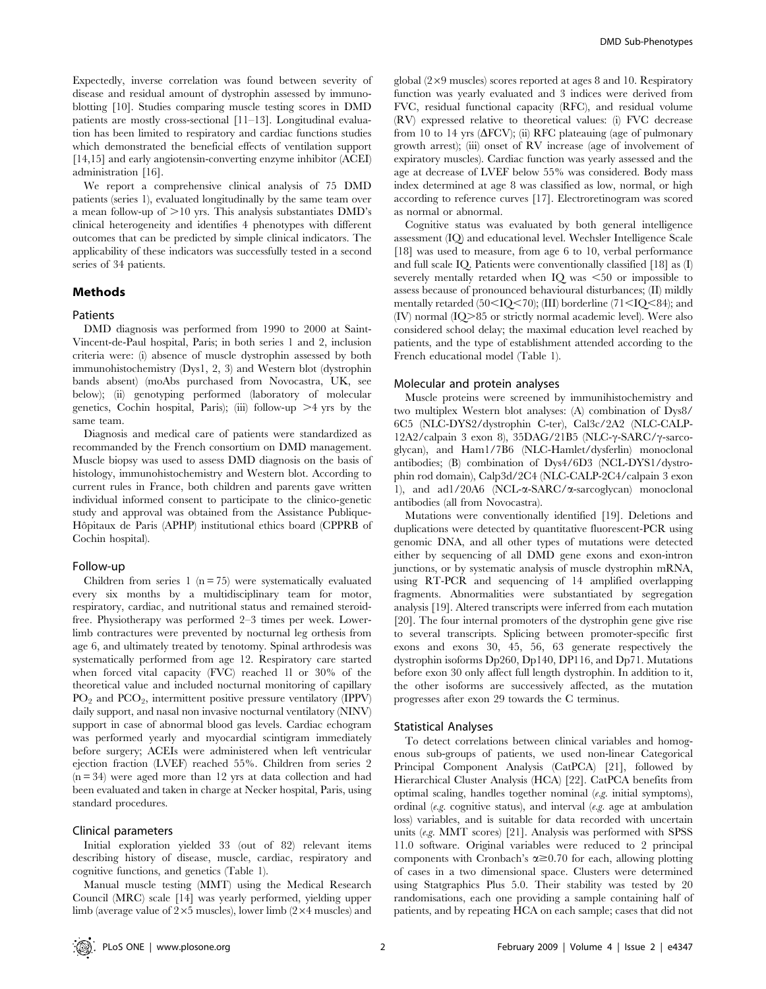Expectedly, inverse correlation was found between severity of disease and residual amount of dystrophin assessed by immunoblotting [10]. Studies comparing muscle testing scores in DMD patients are mostly cross-sectional [11–13]. Longitudinal evaluation has been limited to respiratory and cardiac functions studies which demonstrated the beneficial effects of ventilation support [14,15] and early angiotensin-converting enzyme inhibitor (ACEI) administration [16].

We report a comprehensive clinical analysis of 75 DMD patients (series 1), evaluated longitudinally by the same team over a mean follow-up of  $>10$  yrs. This analysis substantiates DMD's clinical heterogeneity and identifies 4 phenotypes with different outcomes that can be predicted by simple clinical indicators. The applicability of these indicators was successfully tested in a second series of 34 patients.

# Methods

#### Patients

DMD diagnosis was performed from 1990 to 2000 at Saint-Vincent-de-Paul hospital, Paris; in both series 1 and 2, inclusion criteria were: (i) absence of muscle dystrophin assessed by both immunohistochemistry (Dys1, 2, 3) and Western blot (dystrophin bands absent) (moAbs purchased from Novocastra, UK, see below); (ii) genotyping performed (laboratory of molecular genetics, Cochin hospital, Paris); (iii) follow-up  $\geq 4$  yrs by the same team.

Diagnosis and medical care of patients were standardized as recommanded by the French consortium on DMD management. Muscle biopsy was used to assess DMD diagnosis on the basis of histology, immunohistochemistry and Western blot. According to current rules in France, both children and parents gave written individual informed consent to participate to the clinico-genetic study and approval was obtained from the Assistance Publique-Hôpitaux de Paris (APHP) institutional ethics board (CPPRB of Cochin hospital).

#### Follow-up

Children from series 1 ( $n = 75$ ) were systematically evaluated every six months by a multidisciplinary team for motor, respiratory, cardiac, and nutritional status and remained steroidfree. Physiotherapy was performed 2–3 times per week. Lowerlimb contractures were prevented by nocturnal leg orthesis from age 6, and ultimately treated by tenotomy. Spinal arthrodesis was systematically performed from age 12. Respiratory care started when forced vital capacity (FVC) reached 1l or 30% of the theoretical value and included nocturnal monitoring of capillary  $PO_2$  and  $PCO_2$ , intermittent positive pressure ventilatory (IPPV) daily support, and nasal non invasive nocturnal ventilatory (NINV) support in case of abnormal blood gas levels. Cardiac echogram was performed yearly and myocardial scintigram immediately before surgery; ACEIs were administered when left ventricular ejection fraction (LVEF) reached 55%. Children from series 2  $(n = 34)$  were aged more than 12 yrs at data collection and had been evaluated and taken in charge at Necker hospital, Paris, using standard procedures.

## Clinical parameters

Initial exploration yielded 33 (out of 82) relevant items describing history of disease, muscle, cardiac, respiratory and cognitive functions, and genetics (Table 1).

Manual muscle testing (MMT) using the Medical Research Council (MRC) scale [14] was yearly performed, yielding upper limb (average value of  $2\times5$  muscles), lower limb ( $2\times4$  muscles) and

global  $(2\times9$  muscles) scores reported at ages 8 and 10. Respiratory function was yearly evaluated and 3 indices were derived from FVC, residual functional capacity (RFC), and residual volume (RV) expressed relative to theoretical values: (i) FVC decrease from 10 to 14 yrs  $(\Delta$ FCV); (ii) RFC plateauing (age of pulmonary growth arrest); (iii) onset of RV increase (age of involvement of expiratory muscles). Cardiac function was yearly assessed and the age at decrease of LVEF below 55% was considered. Body mass index determined at age 8 was classified as low, normal, or high according to reference curves [17]. Electroretinogram was scored as normal or abnormal.

Cognitive status was evaluated by both general intelligence assessment (IQ) and educational level. Wechsler Intelligence Scale [18] was used to measure, from age 6 to 10, verbal performance and full scale IQ. Patients were conventionally classified [18] as (I) severely mentally retarded when  $IQ$  was  $<50$  or impossible to assess because of pronounced behavioural disturbances; (II) mildly mentally retarded  $(50<$ IQ $<$ 70); (III) borderline  $(71<$ IQ $<$ 84); and  $(IV)$  normal  $(IO > 85$  or strictly normal academic level). Were also considered school delay; the maximal education level reached by patients, and the type of establishment attended according to the French educational model (Table 1).

#### Molecular and protein analyses

Muscle proteins were screened by immunihistochemistry and two multiplex Western blot analyses: (A) combination of Dys8/ 6C5 (NLC-DYS2/dystrophin C-ter), Cal3c/2A2 (NLC-CALP- $12A2/calpain$  3 exon 8),  $35DAG/21B5$  (NLC- $\gamma$ -SARC/ $\gamma$ -sarcoglycan), and Ham1/7B6 (NLC-Hamlet/dysferlin) monoclonal antibodies; (B) combination of Dys4/6D3 (NCL-DYS1/dystrophin rod domain), Calp3d/2C4 (NLC-CALP-2C4/calpain 3 exon 1), and ad1/20A6 (NCL-a-SARC/a-sarcoglycan) monoclonal antibodies (all from Novocastra).

Mutations were conventionally identified [19]. Deletions and duplications were detected by quantitative fluorescent-PCR using genomic DNA, and all other types of mutations were detected either by sequencing of all DMD gene exons and exon-intron junctions, or by systematic analysis of muscle dystrophin mRNA, using RT-PCR and sequencing of 14 amplified overlapping fragments. Abnormalities were substantiated by segregation analysis [19]. Altered transcripts were inferred from each mutation [20]. The four internal promoters of the dystrophin gene give rise to several transcripts. Splicing between promoter-specific first exons and exons 30, 45, 56, 63 generate respectively the dystrophin isoforms Dp260, Dp140, DP116, and Dp71. Mutations before exon 30 only affect full length dystrophin. In addition to it, the other isoforms are successively affected, as the mutation progresses after exon 29 towards the C terminus.

#### Statistical Analyses

To detect correlations between clinical variables and homogenous sub-groups of patients, we used non-linear Categorical Principal Component Analysis (CatPCA) [21], followed by Hierarchical Cluster Analysis (HCA) [22]. CatPCA benefits from optimal scaling, handles together nominal (e.g. initial symptoms), ordinal (e.g. cognitive status), and interval (e.g. age at ambulation loss) variables, and is suitable for data recorded with uncertain units (e.g. MMT scores) [21]. Analysis was performed with SPSS 11.0 software. Original variables were reduced to 2 principal components with Cronbach's  $\alpha \geq 0.70$  for each, allowing plotting of cases in a two dimensional space. Clusters were determined using Statgraphics Plus 5.0. Their stability was tested by 20 randomisations, each one providing a sample containing half of patients, and by repeating HCA on each sample; cases that did not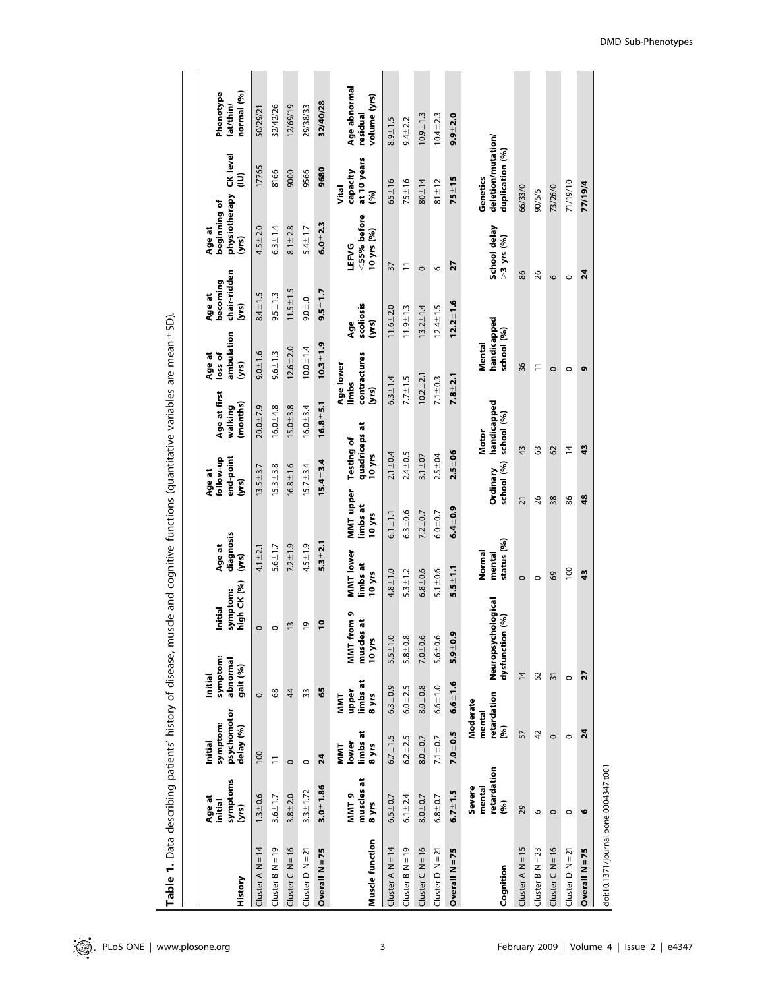|                    | -<br>`                                  |                                                 |                                           |                                          | J                               |                                 |                                          |                                     |                                       |                                            |                                                 |                                                   |                                          |
|--------------------|-----------------------------------------|-------------------------------------------------|-------------------------------------------|------------------------------------------|---------------------------------|---------------------------------|------------------------------------------|-------------------------------------|---------------------------------------|--------------------------------------------|-------------------------------------------------|---------------------------------------------------|------------------------------------------|
| History            | symptoms<br>Age at<br>initial<br>(yrs   | psychomotor<br>symptom:<br>delay (%)<br>Initial | abnormal<br>gait (%)<br>Initial           | symptom:<br>Initial<br>symptom:          | high CK (%)                     | diagnosis<br>Age at<br>(yrs)    | end-point<br>follow-up<br>Age at<br>(yrs | Age at first<br>(months)<br>walking | ambulation<br>Age at<br>loss of<br>ζ. | chair-ridden<br>becoming<br>Age at<br>(уrs | physiotherapy<br>beginning of<br>Age at<br>(yrs | CK level<br>ξ                                     | Phenotype<br>normal (%)<br>fat/thin/     |
| Cluster A $N = 14$ | $1.3 - 0.6$                             | 100                                             | $\circ$                                   |                                          |                                 | $4.1 \pm 2.1$                   | $13.5 + 3.7$                             | $20.0 + 7.9$                        | $9.0 + 1.6$                           | $8.4 \pm 1.5$                              | $4.5 + 2.0$                                     | 17765                                             | 50/29/21                                 |
| Cluster $B N = 19$ | $3.6 + 1.7$                             | Ξ                                               | 68                                        |                                          |                                 | $5.6 + 1.7$                     | $15.3 + 3.8$                             | $16.0 + 4.8$                        | $9.6 \pm 1.3$                         | $9.5 + 1.3$                                | $6.3 \pm 1.4$                                   | 8166                                              | 32/42/26                                 |
| Cluster $C$ N = 16 | $3.8 + 2.0$                             | $\circ$                                         | 44                                        | $\bar{u}$                                |                                 | $7.2 + 1.9$                     | $16.8 + 1.6$                             | $15.0 + 3.8$                        | $12.6 + 2.0$                          | $11.5 \pm 1.5$                             | $8.1 \pm 2.8$                                   | 9000                                              | 12/69/19                                 |
| Cluster $D N = 21$ | $3.3 \pm 1.72$                          | $\circ$                                         | 33                                        | G                                        |                                 | $4.5 + 1.9$                     | $5.7 \pm 3.4$                            | $16.0 \pm 3.4$                      | $10.0 + 1.4$                          | $0.0 + 0.0$                                | $5.4 \pm 1.7$                                   | 9566                                              | 29/38/33                                 |
| Overall N = 75     | $3.0 - 1.86$                            | 24                                              | 59                                        | $\overline{\bullet}$                     |                                 | $5.3 + 2.1$                     | $15.4 + 3.4$                             | $16.8 + 5.1$                        | $10.3 + 1.9$                          | $9.5 + 1.7$                                | $6.0 - 2.3$                                     | 9680                                              | 32/40/28                                 |
| Muscle function    | muscles at<br>MMT9<br>8 yrs             | limbs at<br>lower<br>8 yrs<br>MMT               | limbs at<br>upper<br>8 yrs<br><b>NINT</b> | MMT from 9<br>muscles at<br>10 yrs       | MMT lower<br>limbs at<br>10 yrs | MMT upper<br>limbs at<br>10 yrs | <b>Testing of</b><br>10 yrs              | limbs<br>(yrs<br>quadriceps at      | contractures<br>Age lower             | scoliosis<br>(yrs<br>Age                   | <55% before<br>10 yrs (%)<br><b>LEFVG</b>       | at 10 years<br>capacity<br>Vital<br>(96)          | Age abnormal<br>volume (yrs)<br>residual |
| Cluster A $N = 14$ | $6.5 + 0.7$                             | $6.7 \pm 1.5$                                   | $6.3 + 0.9$                               | $5.5 \pm 1.0$                            | $4.8 + 1.0$                     | $6.1 \pm 1.1$                   | $2.1 \pm 0.4$                            | $6.3 \pm 1.4$                       |                                       | $11.6 + 2.0$                               | 37                                              | $65 \pm 16$                                       | $8.9 + 1.5$                              |
| $Cluster B N = 19$ | $6.1 \pm 2.4$                           | $6.2 \pm 2.5$                                   | $6.0 + 2.5$                               | $5.8 + 0.8$                              | $5.3 \pm 1.2$                   | $6.3 + 0.6$                     | $2.4 \pm 0.5$                            | $7.7 \pm 1.5$                       |                                       | $11.9 + 1.3$                               | Ξ                                               | $75 \pm 16$                                       | $9.4 + 2.2$                              |
| Cluster $C$ N = 16 | $8.0 - 0.7$                             | $8.0 + 0.7$                                     | $8.0 - 0.8$                               | $7.0 - 0.6$                              | $6.8 + 0.6$                     | $7.2 + 0.7$                     | $3.1 \pm 07$                             |                                     | $10.2 + 2.1$                          | $13.2 \pm 1.4$                             | $\circ$                                         | $80 + 14$                                         | $10.9 + 1.3$                             |
| Cluster $D N = 21$ | $6.8 + 0.7$                             | $7.1 \pm 0.7$                                   | $6.6 + 1.0$                               | $5.6 + 0.6$                              | $5.1 \pm 0.6$                   | $6.0 + 0.7$                     | $2.5 + 04$                               | $7.1 \pm 0.3$                       |                                       | $12.4 \pm 1.5$                             | $\circ$                                         | $81 \pm 12$                                       | $10.4 \pm 2.3$                           |
| Overall N=75       | $6.7 \pm 1.5$                           | $7.0 - 0.5$                                     | $6.6 - 1.6$                               | $5.9 - 0.9$                              | $5.5 \pm 1.1$                   | $6.4 + 0.9$                     | $2.5 - 06$                               | $7.8 + 2.1$                         |                                       | $12.2 + 1.6$                               | 27                                              | $75 + 15$                                         | $9.9 - 2.0$                              |
| Cognition          | retardation<br>Severe<br>mental<br>(96) | retardation<br>Moderate<br>mental<br>(%)        |                                           | Neuropsychological<br>(%)<br>dysfunction |                                 | status (%)<br>Normal<br>mental  | school (%)<br>Ordinary                   | handicapped<br>school (%)<br>Motor  | handicapped<br>school (%)<br>Mental   |                                            | School delay<br>$>3$ yrs (%)                    | deletion/mutation/<br>duplication (%)<br>Genetics |                                          |
| Cluster A $N = 15$ | 29                                      | 57                                              |                                           | $\overline{4}$                           | $\circ$                         | $\overline{2}$                  |                                          | 43                                  | 36                                    |                                            | 86                                              | 66/33/0                                           |                                          |
| Cluster $B N = 23$ | O                                       | 42                                              |                                           | 52                                       | $\circ$                         |                                 | 26                                       | 63                                  | Ξ                                     |                                            | 26                                              | 90/5/5                                            |                                          |
| Cluster $C$ N = 16 | $\circ$                                 | $\circ$                                         |                                           | $\overline{31}$                          | 69                              |                                 | 38                                       | 62                                  | $\circ$                               |                                            | 6                                               | 73/26/0                                           |                                          |
| Cluster $D N = 21$ | $\circ$                                 | $\circ$                                         | $\circ$                                   |                                          | $\overline{100}$                |                                 | 86                                       | $\overline{4}$                      | $\circ$                               |                                            | $\circ$                                         | 71/19/10                                          |                                          |
| Overall $N = 75$   | O                                       | 24                                              |                                           | 27                                       | 43                              |                                 | 48                                       | 43                                  | ō                                     |                                            | 24                                              | 77/19/4                                           |                                          |

Table 1. Data describing patients' history of disease, muscle and cognitive functions (quantitative variables are mean Table 1. Data describing patients' history of disease, muscle and cognitive functions (quantitative variables are mean±SD).

doi:10.1371/journal.pone.0004347.t001 doi:10.1371/journal.pone.0004347.t001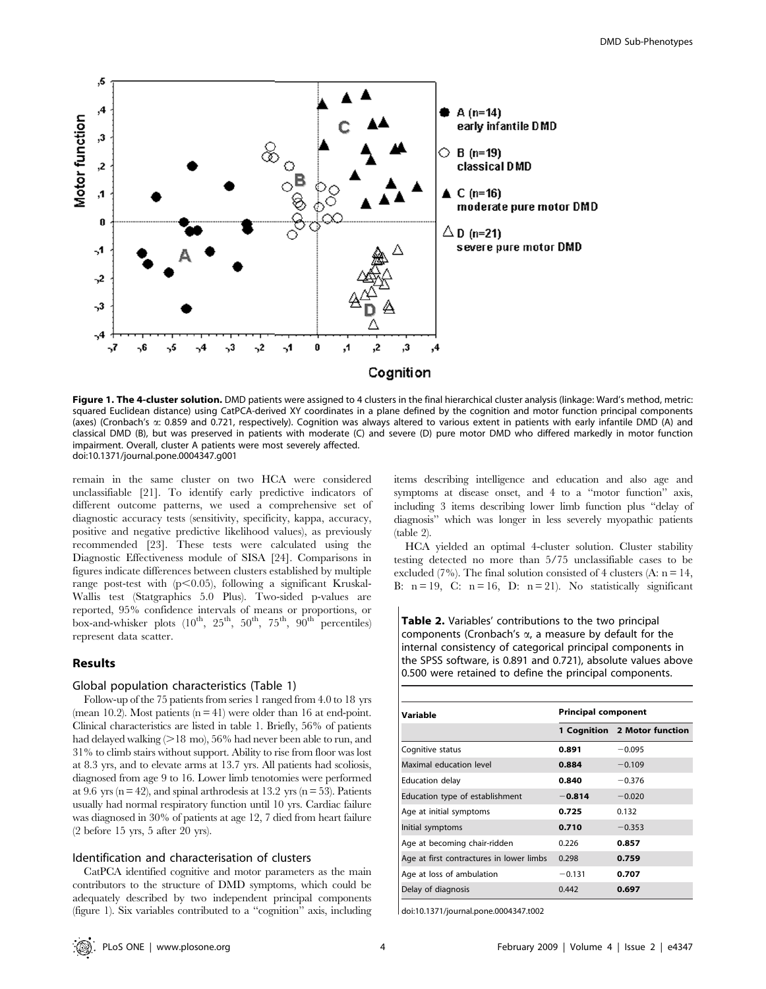

Figure 1. The 4-cluster solution. DMD patients were assigned to 4 clusters in the final hierarchical cluster analysis (linkage: Ward's method, metric: squared Euclidean distance) using CatPCA-derived XY coordinates in a plane defined by the cognition and motor function principal components (axes) (Cronbach's a: 0.859 and 0.721, respectively). Cognition was always altered to various extent in patients with early infantile DMD (A) and classical DMD (B), but was preserved in patients with moderate (C) and severe (D) pure motor DMD who differed markedly in motor function impairment. Overall, cluster A patients were most severely affected. doi:10.1371/journal.pone.0004347.g001

remain in the same cluster on two HCA were considered unclassifiable [21]. To identify early predictive indicators of different outcome patterns, we used a comprehensive set of diagnostic accuracy tests (sensitivity, specificity, kappa, accuracy, positive and negative predictive likelihood values), as previously recommended [23]. These tests were calculated using the Diagnostic Effectiveness module of SISA [24]. Comparisons in figures indicate differences between clusters established by multiple range post-test with  $(p<0.05)$ , following a significant Kruskal-Wallis test (Statgraphics 5.0 Plus). Two-sided p-values are reported, 95% confidence intervals of means or proportions, or box-and-whisker plots  $(10^{th}, 25^{th}, 50^{th}, 75^{th}, 90^{th}$  percentiles) represent data scatter.

# Results

### Global population characteristics (Table 1)

Follow-up of the 75 patients from series 1 ranged from 4.0 to 18 yrs (mean 10.2). Most patients  $(n = 41)$  were older than 16 at end-point. Clinical characteristics are listed in table 1. Briefly, 56% of patients had delayed walking  $(>18 \text{ mo})$ , 56% had never been able to run, and 31% to climb stairs without support. Ability to rise from floor was lost at 8.3 yrs, and to elevate arms at 13.7 yrs. All patients had scoliosis, diagnosed from age 9 to 16. Lower limb tenotomies were performed at 9.6 yrs ( $n = 42$ ), and spinal arthrodesis at 13.2 yrs ( $n = 53$ ). Patients usually had normal respiratory function until 10 yrs. Cardiac failure was diagnosed in 30% of patients at age 12, 7 died from heart failure (2 before 15 yrs, 5 after 20 yrs).

# Identification and characterisation of clusters

CatPCA identified cognitive and motor parameters as the main contributors to the structure of DMD symptoms, which could be adequately described by two independent principal components (figure 1). Six variables contributed to a ''cognition'' axis, including items describing intelligence and education and also age and symptoms at disease onset, and 4 to a ''motor function'' axis, including 3 items describing lower limb function plus ''delay of diagnosis'' which was longer in less severely myopathic patients (table 2).

HCA yielded an optimal 4-cluster solution. Cluster stability testing detected no more than 5/75 unclassifiable cases to be excluded (7%). The final solution consisted of 4 clusters (A:  $n = 14$ , B:  $n = 19$ , C:  $n = 16$ , D:  $n = 21$ ). No statistically significant

Table 2. Variables' contributions to the two principal components (Cronbach's  $\alpha$ , a measure by default for the internal consistency of categorical principal components in the SPSS software, is 0.891 and 0.721), absolute values above 0.500 were retained to define the principal components.

| Variable                                 | <b>Principal component</b> |                              |
|------------------------------------------|----------------------------|------------------------------|
|                                          |                            | 1 Cognition 2 Motor function |
| Cognitive status                         | 0.891                      | $-0.095$                     |
| Maximal education level                  | 0.884                      | $-0.109$                     |
| <b>Education delay</b>                   | 0.840                      | $-0.376$                     |
| Education type of establishment          | $-0.814$                   | $-0.020$                     |
| Age at initial symptoms                  | 0.725                      | 0.132                        |
| Initial symptoms                         | 0.710                      | $-0.353$                     |
| Age at becoming chair-ridden             | 0.226                      | 0.857                        |
| Age at first contractures in lower limbs | 0.298                      | 0.759                        |
| Age at loss of ambulation                | $-0.131$                   | 0.707                        |
| Delay of diagnosis                       | 0.442                      | 0.697                        |

doi:10.1371/journal.pone.0004347.t002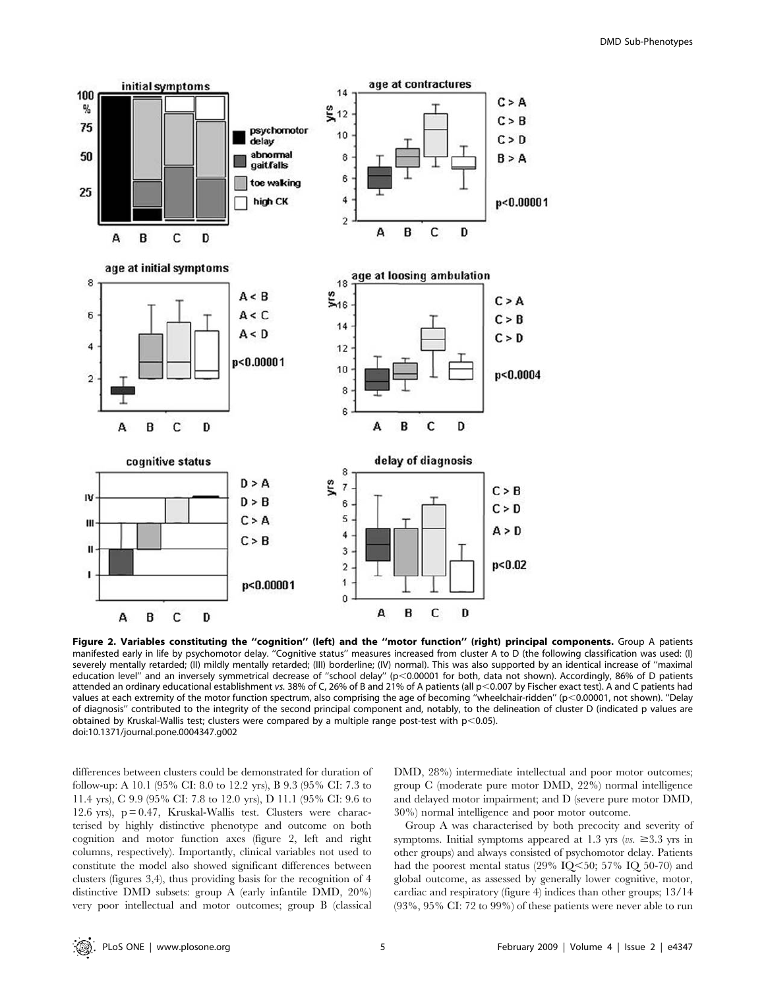

Figure 2. Variables constituting the ''cognition'' (left) and the ''motor function'' (right) principal components. Group A patients manifested early in life by psychomotor delay. ''Cognitive status'' measures increased from cluster A to D (the following classification was used: (I) severely mentally retarded; (II) mildly mentally retarded; (III) borderline; (IV) normal). This was also supported by an identical increase of ''maximal education level" and an inversely symmetrical decrease of "school delay" (p<0.00001 for both, data not shown). Accordingly, 86% of D patients attended an ordinary educational establishment vs. 38% of C, 26% of B and 21% of A patients (all p<0.007 by Fischer exact test). A and C patients had values at each extremity of the motor function spectrum, also comprising the age of becoming "wheelchair-ridden" (p<0.00001, not shown). "Delay of diagnosis'' contributed to the integrity of the second principal component and, notably, to the delineation of cluster D (indicated p values are obtained by Kruskal-Wallis test; clusters were compared by a multiple range post-test with  $p<0.05$ ). doi:10.1371/journal.pone.0004347.g002

differences between clusters could be demonstrated for duration of follow-up: A 10.1 (95% CI: 8.0 to 12.2 yrs), B 9.3 (95% CI: 7.3 to 11.4 yrs), C 9.9 (95% CI: 7.8 to 12.0 yrs), D 11.1 (95% CI: 9.6 to 12.6 yrs), p = 0.47, Kruskal-Wallis test. Clusters were characterised by highly distinctive phenotype and outcome on both cognition and motor function axes (figure 2, left and right columns, respectively). Importantly, clinical variables not used to constitute the model also showed significant differences between clusters (figures 3,4), thus providing basis for the recognition of 4 distinctive DMD subsets: group A (early infantile DMD, 20%) very poor intellectual and motor outcomes; group B (classical DMD, 28%) intermediate intellectual and poor motor outcomes; group C (moderate pure motor DMD, 22%) normal intelligence and delayed motor impairment; and D (severe pure motor DMD, 30%) normal intelligence and poor motor outcome.

Group A was characterised by both precocity and severity of symptoms. Initial symptoms appeared at 1.3 yrs ( $vs. \geq 3.3$  yrs in other groups) and always consisted of psychomotor delay. Patients had the poorest mental status (29% IQ $\leq$ 50; 57% IQ 50-70) and global outcome, as assessed by generally lower cognitive, motor, cardiac and respiratory (figure 4) indices than other groups; 13/14 (93%, 95% CI: 72 to 99%) of these patients were never able to run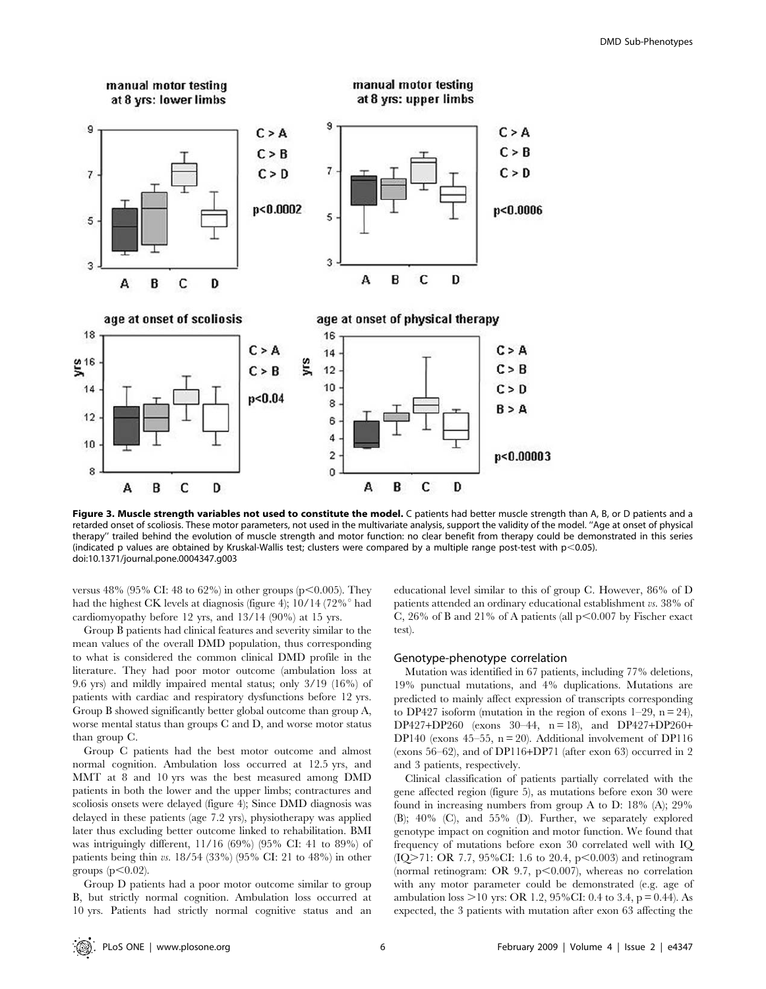

Figure 3. Muscle strength variables not used to constitute the model. C patients had better muscle strength than A, B, or D patients and a retarded onset of scoliosis. These motor parameters, not used in the multivariate analysis, support the validity of the model. ''Age at onset of physical therapy'' trailed behind the evolution of muscle strength and motor function: no clear benefit from therapy could be demonstrated in this series (indicated p values are obtained by Kruskal-Wallis test; clusters were compared by a multiple range post-test with  $p$ <0.05). doi:10.1371/journal.pone.0004347.g003

versus 48% (95% CI: 48 to 62%) in other groups (p $\leq 0.005$ ). They had the highest CK levels at diagnosis (figure 4); 10/14 (72%<sup>o</sup> had cardiomyopathy before 12 yrs, and 13/14 (90%) at 15 yrs.

Group B patients had clinical features and severity similar to the mean values of the overall DMD population, thus corresponding to what is considered the common clinical DMD profile in the literature. They had poor motor outcome (ambulation loss at 9.6 yrs) and mildly impaired mental status; only 3/19 (16%) of patients with cardiac and respiratory dysfunctions before 12 yrs. Group B showed significantly better global outcome than group A, worse mental status than groups C and D, and worse motor status than group C.

Group C patients had the best motor outcome and almost normal cognition. Ambulation loss occurred at 12.5 yrs, and MMT at 8 and 10 yrs was the best measured among DMD patients in both the lower and the upper limbs; contractures and scoliosis onsets were delayed (figure 4); Since DMD diagnosis was delayed in these patients (age 7.2 yrs), physiotherapy was applied later thus excluding better outcome linked to rehabilitation. BMI was intriguingly different, 11/16 (69%) (95% CI: 41 to 89%) of patients being thin vs. 18/54 (33%) (95% CI: 21 to 48%) in other groups  $(p<0.02)$ .

Group D patients had a poor motor outcome similar to group B, but strictly normal cognition. Ambulation loss occurred at 10 yrs. Patients had strictly normal cognitive status and an educational level similar to this of group C. However, 86% of D patients attended an ordinary educational establishment vs. 38% of C, 26% of B and 21% of A patients (all  $p<0.007$  by Fischer exact test).

## Genotype-phenotype correlation

Mutation was identified in 67 patients, including 77% deletions, 19% punctual mutations, and 4% duplications. Mutations are predicted to mainly affect expression of transcripts corresponding to DP427 isoform (mutation in the region of exons  $1-29$ ,  $n = 24$ ),  $DP427+DP260$  (exons  $30-44$ ,  $n = 18$ ), and  $DP427+DP260+$ DP140 (exons 45–55,  $n = 20$ ). Additional involvement of DP116 (exons 56–62), and of DP116+DP71 (after exon 63) occurred in 2 and 3 patients, respectively.

Clinical classification of patients partially correlated with the gene affected region (figure 5), as mutations before exon 30 were found in increasing numbers from group A to D: 18% (A); 29% (B); 40% (C), and 55% (D). Further, we separately explored genotype impact on cognition and motor function. We found that frequency of mutations before exon 30 correlated well with IQ (IQ>71: OR 7.7, 95%CI: 1.6 to 20.4, p<0.003) and retinogram (normal retinogram: OR 9.7,  $p<0.007$ ), whereas no correlation with any motor parameter could be demonstrated (e.g. age of ambulation loss  $>10$  yrs: OR 1.2, 95%CI: 0.4 to 3.4, p = 0.44). As expected, the 3 patients with mutation after exon 63 affecting the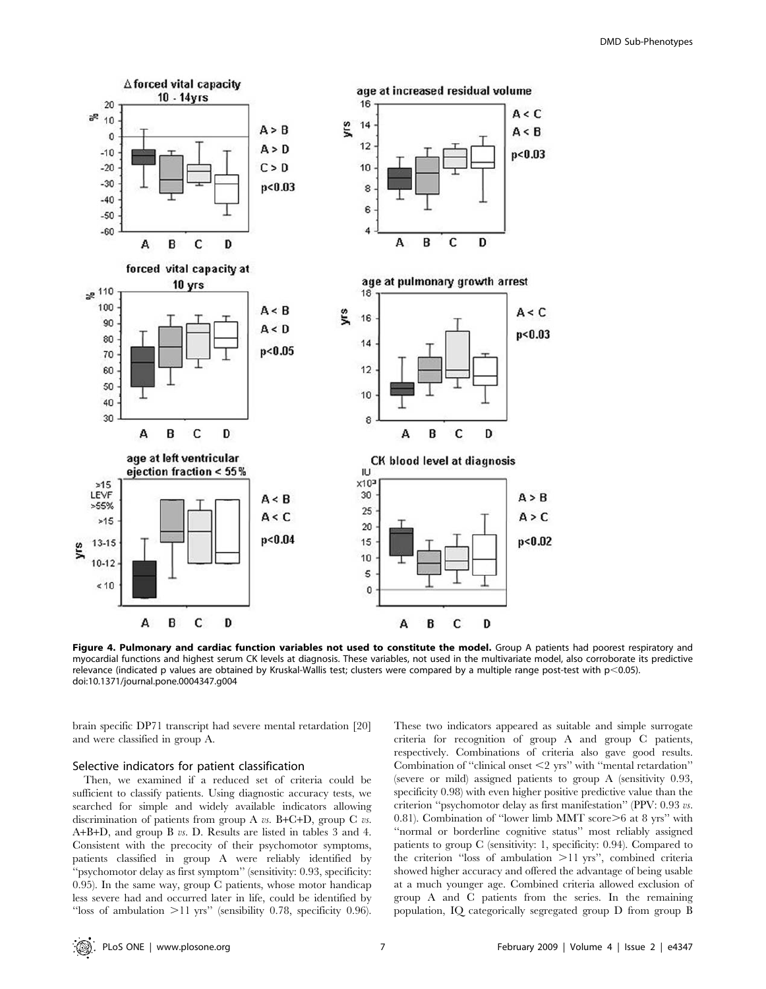

Figure 4. Pulmonary and cardiac function variables not used to constitute the model. Group A patients had poorest respiratory and myocardial functions and highest serum CK levels at diagnosis. These variables, not used in the multivariate model, also corroborate its predictive relevance (indicated p values are obtained by Kruskal-Wallis test; clusters were compared by a multiple range post-test with  $p<0.05$ ). doi:10.1371/journal.pone.0004347.g004

brain specific DP71 transcript had severe mental retardation [20] and were classified in group A.

#### Selective indicators for patient classification

Then, we examined if a reduced set of criteria could be sufficient to classify patients. Using diagnostic accuracy tests, we searched for simple and widely available indicators allowing discrimination of patients from group A  $vs.$  B+C+D, group C  $vs.$ A+B+D, and group B vs. D. Results are listed in tables 3 and 4. Consistent with the precocity of their psychomotor symptoms, patients classified in group A were reliably identified by ''psychomotor delay as first symptom'' (sensitivity: 0.93, specificity: 0.95). In the same way, group C patients, whose motor handicap less severe had and occurred later in life, could be identified by "loss of ambulation  $>11$  yrs" (sensibility 0.78, specificity 0.96).

These two indicators appeared as suitable and simple surrogate criteria for recognition of group A and group C patients, respectively. Combinations of criteria also gave good results. Combination of "clinical onset  $\leq$  yrs" with "mental retardation" (severe or mild) assigned patients to group A (sensitivity 0.93, specificity 0.98) with even higher positive predictive value than the criterion ''psychomotor delay as first manifestation'' (PPV: 0.93 vs. 0.81). Combination of "lower limb MMT score $\geq 6$  at 8 yrs" with "normal or borderline cognitive status" most reliably assigned patients to group C (sensitivity: 1, specificity: 0.94). Compared to the criterion "loss of ambulation  $>11$  yrs", combined criteria showed higher accuracy and offered the advantage of being usable at a much younger age. Combined criteria allowed exclusion of group A and C patients from the series. In the remaining population, IQ categorically segregated group D from group B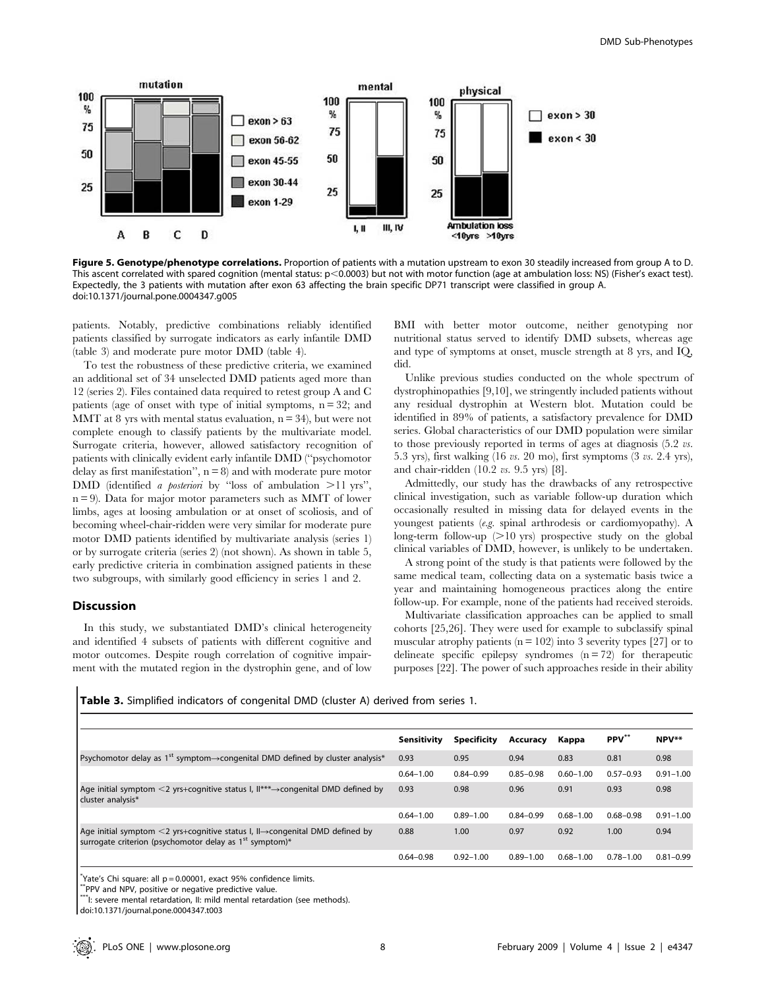

Figure 5. Genotype/phenotype correlations. Proportion of patients with a mutation upstream to exon 30 steadily increased from group A to D. This ascent correlated with spared cognition (mental status: p<0.0003) but not with motor function (age at ambulation loss: NS) (Fisher's exact test). Expectedly, the 3 patients with mutation after exon 63 affecting the brain specific DP71 transcript were classified in group A. doi:10.1371/journal.pone.0004347.g005

patients. Notably, predictive combinations reliably identified patients classified by surrogate indicators as early infantile DMD (table 3) and moderate pure motor DMD (table 4).

To test the robustness of these predictive criteria, we examined an additional set of 34 unselected DMD patients aged more than 12 (series 2). Files contained data required to retest group A and C patients (age of onset with type of initial symptoms,  $n = 32$ ; and MMT at 8 yrs with mental status evaluation,  $n = 34$ ), but were not complete enough to classify patients by the multivariate model. Surrogate criteria, however, allowed satisfactory recognition of patients with clinically evident early infantile DMD (''psychomotor delay as first manifestation",  $n = 8$ ) and with moderate pure motor DMD (identified a *posteriori* by "loss of ambulation  $>11$  yrs",  $n = 9$ ). Data for major motor parameters such as MMT of lower limbs, ages at loosing ambulation or at onset of scoliosis, and of becoming wheel-chair-ridden were very similar for moderate pure motor DMD patients identified by multivariate analysis (series 1) or by surrogate criteria (series 2) (not shown). As shown in table 5, early predictive criteria in combination assigned patients in these two subgroups, with similarly good efficiency in series 1 and 2.

## Discussion

In this study, we substantiated DMD's clinical heterogeneity and identified 4 subsets of patients with different cognitive and motor outcomes. Despite rough correlation of cognitive impairment with the mutated region in the dystrophin gene, and of low BMI with better motor outcome, neither genotyping nor nutritional status served to identify DMD subsets, whereas age and type of symptoms at onset, muscle strength at 8 yrs, and IQ, did.

Unlike previous studies conducted on the whole spectrum of dystrophinopathies [9,10], we stringently included patients without any residual dystrophin at Western blot. Mutation could be identified in 89% of patients, a satisfactory prevalence for DMD series. Global characteristics of our DMD population were similar to those previously reported in terms of ages at diagnosis  $(5.2 \text{ vs.})$ 5.3 yrs), first walking (16 vs. 20 mo), first symptoms (3 vs. 2.4 yrs), and chair-ridden (10.2 vs. 9.5 yrs) [8].

Admittedly, our study has the drawbacks of any retrospective clinical investigation, such as variable follow-up duration which occasionally resulted in missing data for delayed events in the youngest patients (e.g. spinal arthrodesis or cardiomyopathy). A long-term follow-up  $(>10 \text{ yrs})$  prospective study on the global clinical variables of DMD, however, is unlikely to be undertaken.

A strong point of the study is that patients were followed by the same medical team, collecting data on a systematic basis twice a year and maintaining homogeneous practices along the entire follow-up. For example, none of the patients had received steroids.

Multivariate classification approaches can be applied to small cohorts [25,26]. They were used for example to subclassify spinal muscular atrophy patients ( $n = 102$ ) into 3 severity types [27] or to delineate specific epilepsy syndromes  $(n = 72)$  for the rapeutic purposes [22]. The power of such approaches reside in their ability

Table 3. Simplified indicators of congenital DMD (cluster A) derived from series 1.

|                                                                                                                                                                      | Sensitivity   | <b>Specificity</b> | Accuracy      | Kappa         | PPV**         | NPV**         |
|----------------------------------------------------------------------------------------------------------------------------------------------------------------------|---------------|--------------------|---------------|---------------|---------------|---------------|
| Psychomotor delay as 1 <sup>st</sup> symptom $\rightarrow$ congenital DMD defined by cluster analysis <sup>*</sup>                                                   | 0.93          | 0.95               | 0.94          | 0.83          | 0.81          | 0.98          |
|                                                                                                                                                                      | $0.64 - 1.00$ | $0.84 - 0.99$      | $0.85 - 0.98$ | $0.60 - 1.00$ | $0.57 - 0.93$ | $0.91 - 1.00$ |
| Age initial symptom <2 yrs+cognitive status $I, II*** \rightarrow$ congenital DMD defined by<br>cluster analysis*                                                    | 0.93          | 0.98               | 0.96          | 0.91          | 0.93          | 0.98          |
|                                                                                                                                                                      | $0.64 - 1.00$ | $0.89 - 1.00$      | $0.84 - 0.99$ | $0.68 - 1.00$ | $0.68 - 0.98$ | $0.91 - 1.00$ |
| Age initial symptom $\leq$ yrs+cognitive status I, II $\rightarrow$ congenital DMD defined by<br>surrogate criterion (psychomotor delay as 1 <sup>st</sup> symptom)* | 0.88          | 1.00               | 0.97          | 0.92          | 1.00          | 0.94          |
|                                                                                                                                                                      | $0.64 - 0.98$ | $0.92 - 1.00$      | $0.89 - 1.00$ | $0.68 - 1.00$ | $0.78 - 1.00$ | $0.81 - 0.99$ |
|                                                                                                                                                                      |               |                    |               |               |               |               |

\* Yate's Chi square: all p = 0.00001, exact 95% confidence limits.

\*PPV and NPV, positive or negative predictive value

\*I: severe mental retardation, II: mild mental retardation (see methods).

doi:10.1371/journal.pone.0004347.t003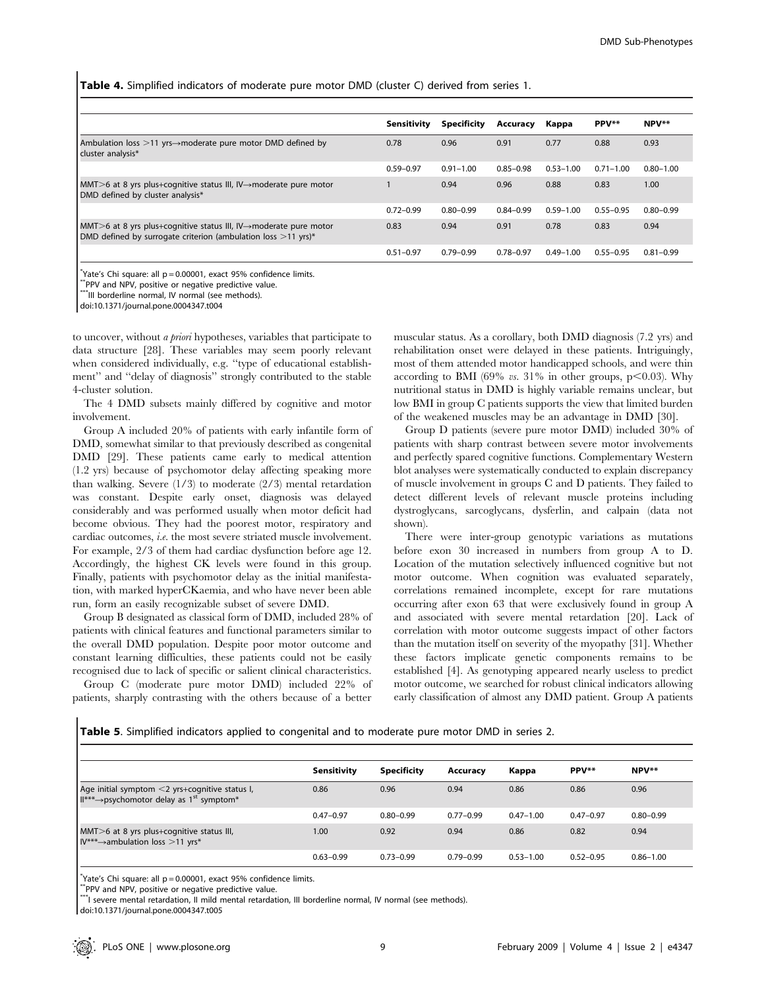Table 4. Simplified indicators of moderate pure motor DMD (cluster C) derived from series 1.

|                                                                                                                                                    | <b>Sensitivity</b> | <b>Specificity</b> | Accuracy      | Kappa         | PPV**         | NPV**         |
|----------------------------------------------------------------------------------------------------------------------------------------------------|--------------------|--------------------|---------------|---------------|---------------|---------------|
| Ambulation loss $>11$ yrs $\rightarrow$ moderate pure motor DMD defined by<br>cluster analysis*                                                    | 0.78               | 0.96               | 0.91          | 0.77          | 0.88          | 0.93          |
|                                                                                                                                                    | $0.59 - 0.97$      | $0.91 - 1.00$      | $0.85 - 0.98$ | $0.53 - 1.00$ | $0.71 - 1.00$ | $0.80 - 1.00$ |
| MMT >6 at 8 yrs plus+cognitive status III, IV $\rightarrow$ moderate pure motor<br>DMD defined by cluster analysis*                                |                    | 0.94               | 0.96          | 0.88          | 0.83          | 1.00          |
|                                                                                                                                                    | $0.72 - 0.99$      | $0.80 - 0.99$      | $0.84 - 0.99$ | $0.59 - 1.00$ | $0.55 - 0.95$ | $0.80 - 0.99$ |
| MMT >6 at 8 yrs plus+cognitive status III, IV $\rightarrow$ moderate pure motor<br>DMD defined by surrogate criterion (ambulation loss $>11$ yrs)* | 0.83               | 0.94               | 0.91          | 0.78          | 0.83          | 0.94          |
|                                                                                                                                                    | $0.51 - 0.97$      | $0.79 - 0.99$      | $0.78 - 0.97$ | $0.49 - 1.00$ | $0.55 - 0.95$ | $0.81 - 0.99$ |

\* Yate's Chi square: all p = 0.00001, exact 95% confidence limits.

\*\*PPV and NPV, positive or negative predictive value.

\*\*\*III borderline normal, IV normal (see methods). doi:10.1371/journal.pone.0004347.t004

to uncover, without a priori hypotheses, variables that participate to data structure [28]. These variables may seem poorly relevant when considered individually, e.g. ''type of educational establishment'' and ''delay of diagnosis'' strongly contributed to the stable 4-cluster solution.

The 4 DMD subsets mainly differed by cognitive and motor involvement.

Group A included 20% of patients with early infantile form of DMD, somewhat similar to that previously described as congenital DMD [29]. These patients came early to medical attention (1.2 yrs) because of psychomotor delay affecting speaking more than walking. Severe (1/3) to moderate (2/3) mental retardation was constant. Despite early onset, diagnosis was delayed considerably and was performed usually when motor deficit had become obvious. They had the poorest motor, respiratory and cardiac outcomes, i.e. the most severe striated muscle involvement. For example, 2/3 of them had cardiac dysfunction before age 12. Accordingly, the highest CK levels were found in this group. Finally, patients with psychomotor delay as the initial manifestation, with marked hyperCKaemia, and who have never been able run, form an easily recognizable subset of severe DMD.

Group B designated as classical form of DMD, included 28% of patients with clinical features and functional parameters similar to the overall DMD population. Despite poor motor outcome and constant learning difficulties, these patients could not be easily recognised due to lack of specific or salient clinical characteristics.

Group C (moderate pure motor DMD) included 22% of patients, sharply contrasting with the others because of a better

muscular status. As a corollary, both DMD diagnosis (7.2 yrs) and rehabilitation onset were delayed in these patients. Intriguingly, most of them attended motor handicapped schools, and were thin according to BMI (69% vs. 31% in other groups, p $<$ 0.03). Why nutritional status in DMD is highly variable remains unclear, but low BMI in group C patients supports the view that limited burden of the weakened muscles may be an advantage in DMD [30].

Group D patients (severe pure motor DMD) included 30% of patients with sharp contrast between severe motor involvements and perfectly spared cognitive functions. Complementary Western blot analyses were systematically conducted to explain discrepancy of muscle involvement in groups C and D patients. They failed to detect different levels of relevant muscle proteins including dystroglycans, sarcoglycans, dysferlin, and calpain (data not shown).

There were inter-group genotypic variations as mutations before exon 30 increased in numbers from group A to D. Location of the mutation selectively influenced cognitive but not motor outcome. When cognition was evaluated separately, correlations remained incomplete, except for rare mutations occurring after exon 63 that were exclusively found in group A and associated with severe mental retardation [20]. Lack of correlation with motor outcome suggests impact of other factors than the mutation itself on severity of the myopathy [31]. Whether these factors implicate genetic components remains to be established [4]. As genotyping appeared nearly useless to predict motor outcome, we searched for robust clinical indicators allowing early classification of almost any DMD patient. Group A patients

Table 5. Simplified indicators applied to congenital and to moderate pure motor DMD in series 2.

|                                                                                                                     | Sensitivity       | <b>Specificity</b> | Accuracy      | Kappa         | PPV**         | NPV**         |
|---------------------------------------------------------------------------------------------------------------------|-------------------|--------------------|---------------|---------------|---------------|---------------|
| Age initial symptom <2 yrs+cognitive status I,<br>$\mathbb{H}^{***}$ -psychomotor delay as 1 <sup>st</sup> symptom* | 0.86              | 0.96               | 0.94          | 0.86          | 0.86          | 0.96          |
|                                                                                                                     | $0.47 - 0.97$     | $0.80 - 0.99$      | $0.77 - 0.99$ | $0.47 - 1.00$ | $0.47 - 0.97$ | $0.80 - 0.99$ |
| MMT>6 at 8 yrs plus+cognitive status III,<br>$IV*** \rightarrow$ ambulation loss >11 yrs*                           | 1.00 <sub>1</sub> | 0.92               | 0.94          | 0.86          | 0.82          | 0.94          |
|                                                                                                                     | $0.63 - 0.99$     | $0.73 - 0.99$      | $0.79 - 0.99$ | $0.53 - 1.00$ | $0.52 - 0.95$ | $0.86 - 1.00$ |

\* Yate's Chi square: all p = 0.00001, exact 95% confidence limits.

\*\*PPV and NPV, positive or negative predictive value.

\*\*\*I severe mental retardation, II mild mental retardation, III borderline normal, IV normal (see methods).

doi:10.1371/journal.pone.0004347.t005